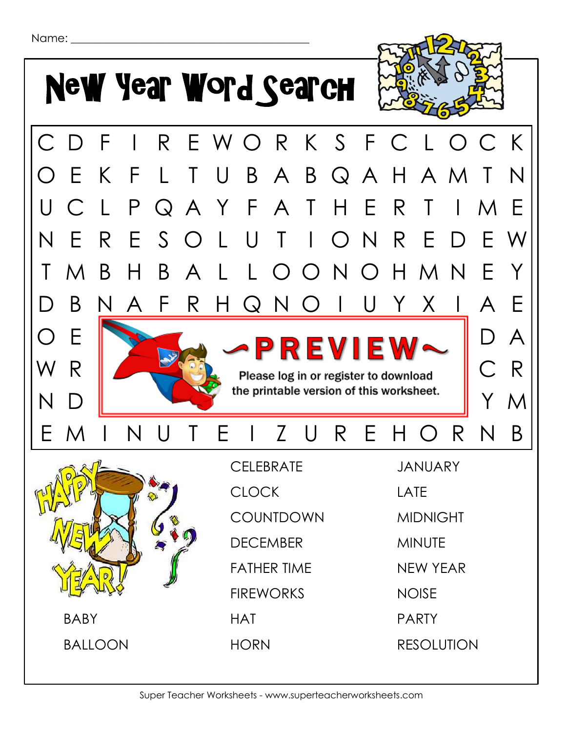